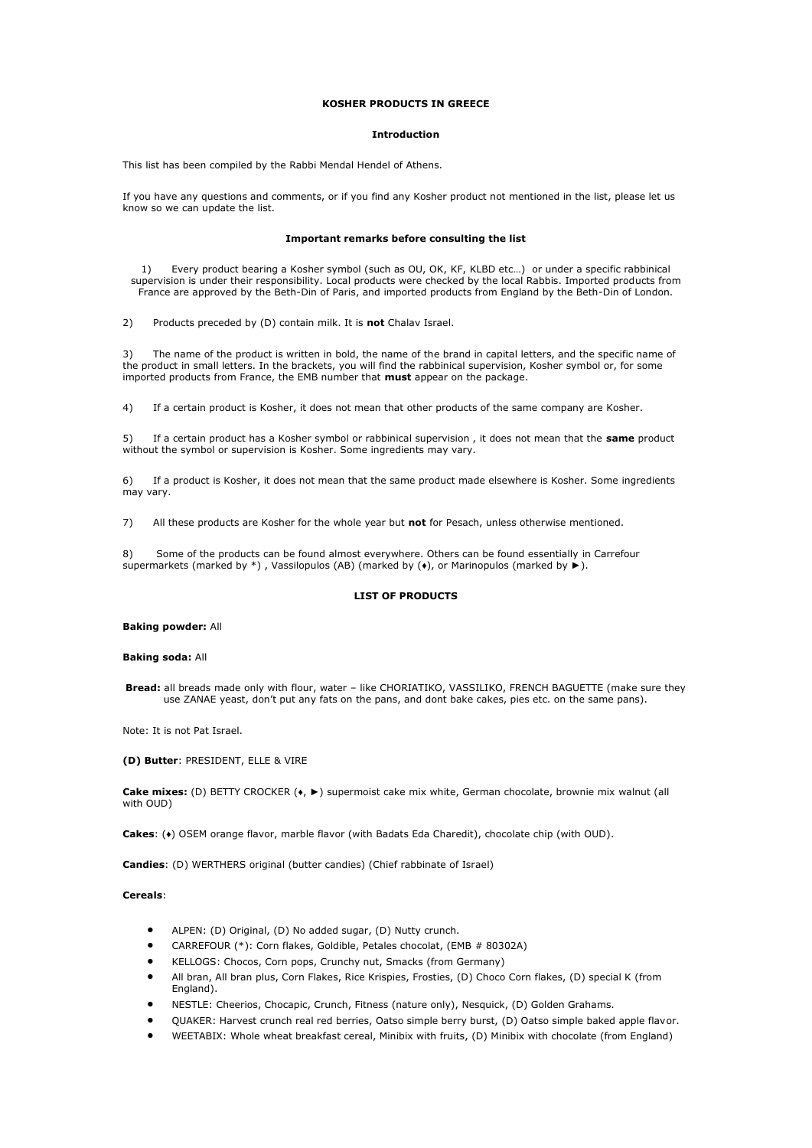## **KOSHER PRODUCTS IN GREECE**

## **Introduction**

This list has been compiled by the Rabbi Mendal Hendel of Athens.

If you have any questions and comments, or if you find any Kosher product not mentioned in the list, please let us know so we can update the list.

#### **Important remarks before consulting the list**

1) Every product bearing a Kosher symbol (such as OU, OK, KF, KLBD etc…) or under a specific rabbinical supervision is under their responsibility. Local products were checked by the local Rabbis. Imported products from France are approved by the Beth-Din of Paris, and imported products from England by the Beth-Din of London.

2) Products preceded by (D) contain milk. It is **not** Chalav Israel.

3) The name of the product is written in bold, the name of the brand in capital letters, and the specific name of the product in small letters. In the brackets, you will find the rabbinical supervision, Kosher symbol or, for some imported products from France, the EMB number that **must** appear on the package.

4) If a certain product is Kosher, it does not mean that other products of the same company are Kosher.

5) If a certain product has a Kosher symbol or rabbinical supervision , it does not mean that the **same** product without the symbol or supervision is Kosher. Some ingredients may vary.

6) If a product is Kosher, it does not mean that the same product made elsewhere is Kosher. Some ingredients may vary.

7) All these products are Kosher for the whole year but **not** for Pesach, unless otherwise mentioned.

8) Some of the products can be found almost everywhere. Others can be found essentially in Carrefour supermarkets (marked by \*), Vassilopulos (AB) (marked by  $(\bullet)$ , or Marinopulos (marked by  $\blacktriangleright$ ).

#### **LIST OF PRODUCTS**

#### **Baking powder:** All

#### **Baking soda:** All

**Bread:** all breads made only with flour, water – like CHORIATIKO, VASSILIKO, FRENCH BAGUETTE (make sure they use ZANAE yeast, don't put any fats on the pans, and dont bake cakes, pies etc. on the same pans).

Note: It is not Pat Israel.

**(D) Butter**: PRESIDENT, ELLE & VIRE

**Cake mixes:** (D) BETTY CROCKER (♦, ►) supermoist cake mix white, German chocolate, brownie mix walnut (all with OUD)

**Cakes**: (♦) OSEM orange flavor, marble flavor (with Badats Eda Charedit), chocolate chip (with OUD).

**Candies**: (D) WERTHERS original (butter candies) (Chief rabbinate of Israel)

## **Cereals**:

- ALPEN: (D) Original, (D) No added sugar, (D) Nutty crunch.
- CARREFOUR (\*): Corn flakes, Goldible, Petales chocolat, (EMB # 80302A)
- KELLOGS: Chocos, Corn pops, Crunchy nut, Smacks (from Germany)
- All bran, All bran plus, Corn Flakes, Rice Krispies, Frosties, (D) Choco Corn flakes, (D) special K (from England).
- NESTLE: Cheerios, Chocapic, Crunch, Fitness (nature only), Nesquick, (D) Golden Grahams.
- QUAKER: Harvest crunch real red berries, Oatso simple berry burst, (D) Oatso simple baked apple flavor.
- WEETABIX: Whole wheat breakfast cereal, Minibix with fruits, (D) Minibix with chocolate (from England)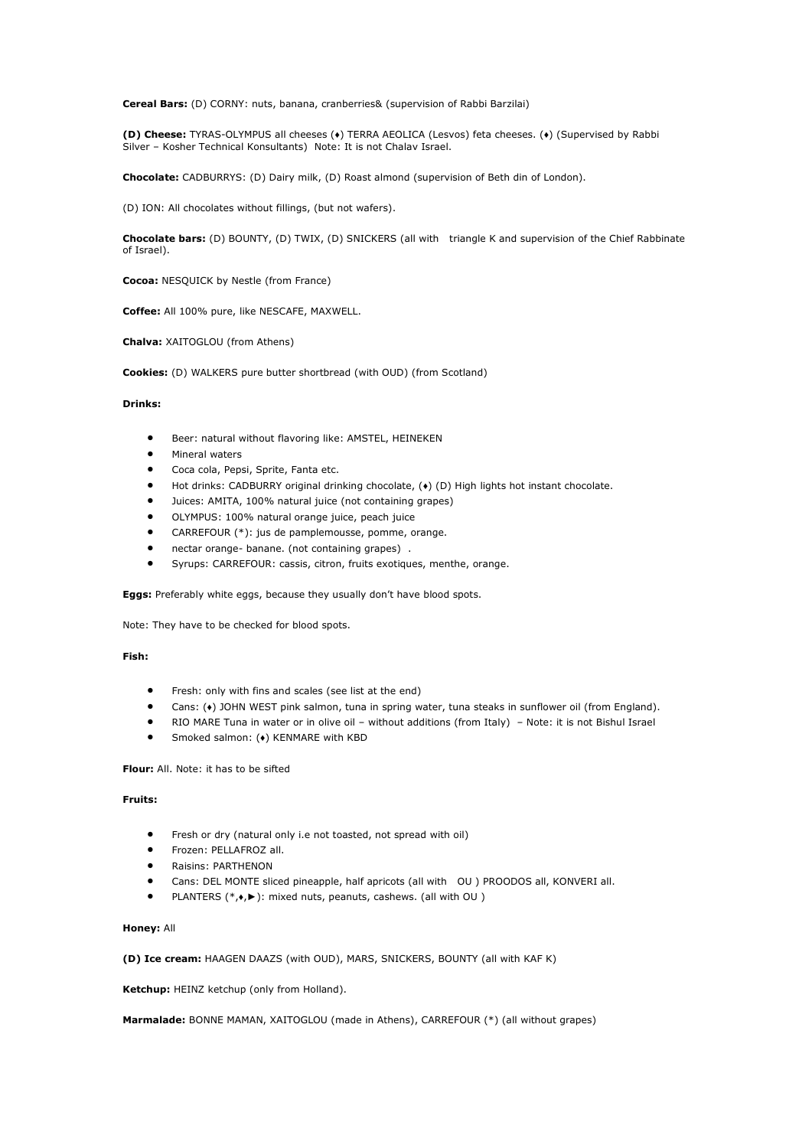**Cereal Bars:** (D) CORNY: nuts, banana, cranberries& (supervision of Rabbi Barzilai)

**(D) Cheese:** TYRAS-OLYMPUS all cheeses (♦) TERRA AEOLICA (Lesvos) feta cheeses. (♦) (Supervised by Rabbi Silver – Kosher Technical Konsultants) Note: It is not Chalav Israel.

**Chocolate:** CADBURRYS: (D) Dairy milk, (D) Roast almond (supervision of Beth din of London).

(D) ION: All chocolates without fillings, (but not wafers).

**Chocolate bars:** (D) BOUNTY, (D) TWIX, (D) SNICKERS (all with triangle K and supervision of the Chief Rabbinate of Israel).

**Cocoa:** NESQUICK by Nestle (from France)

**Coffee:** All 100% pure, like NESCAFE, MAXWELL.

**Chalva:** XAITOGLOU (from Athens)

**Cookies:** (D) WALKERS pure butter shortbread (with OUD) (from Scotland)

## **Drinks:**

- Beer: natural without flavoring like: AMSTEL, HEINEKEN
- Mineral waters
- Coca cola, Pepsi, Sprite, Fanta etc.
- Hot drinks: CADBURRY original drinking chocolate, (+) (D) High lights hot instant chocolate.
- Juices: AMITA, 100% natural juice (not containing grapes)
- OLYMPUS: 100% natural orange juice, peach juice
- CARREFOUR (\*): jus de pamplemousse, pomme, orange.
- nectar orange- banane. (not containing grapes) .
- Syrups: CARREFOUR: cassis, citron, fruits exotiques, menthe, orange.

**Eggs:** Preferably white eggs, because they usually don't have blood spots.

Note: They have to be checked for blood spots.

## **Fish:**

- Fresh: only with fins and scales (see list at the end)
- Cans: (♦) JOHN WEST pink salmon, tuna in spring water, tuna steaks in sunflower oil (from England).
- RIO MARE Tuna in water or in olive oil without additions (from Italy) Note: it is not Bishul Israel
- Smoked salmon: (♦) KENMARE with KBD

**Flour:** All. Note: it has to be sifted

# **Fruits:**

- Fresh or dry (natural only i.e not toasted, not spread with oil)
- Frozen: PELLAFROZ all.
- Raisins: PARTHENON
- Cans: DEL MONTE sliced pineapple, half apricots (all with OU ) PROODOS all, KONVERI all.
- PLANTERS (\*,♦,►): mixed nuts, peanuts, cashews. (all with OU )

## **Honey:** All

**(D) Ice cream:** HAAGEN DAAZS (with OUD), MARS, SNICKERS, BOUNTY (all with KAF K)

**Ketchup:** HEINZ ketchup (only from Holland).

**Marmalade:** BONNE MAMAN, XAITOGLOU (made in Athens), CARREFOUR (\*) (all without grapes)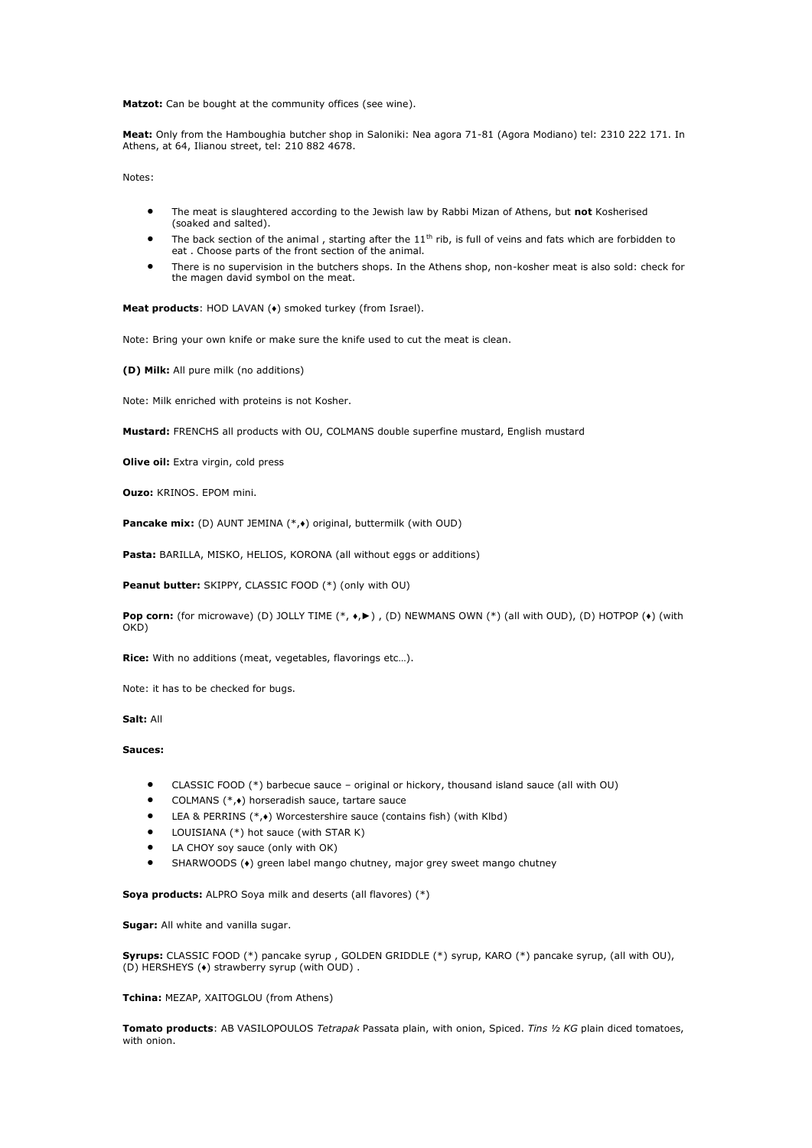**Matzot:** Can be bought at the community offices (see wine).

**Meat:** Only from the Hamboughia butcher shop in Saloniki: Nea agora 71-81 (Agora Modiano) tel: 2310 222 171. In Athens, at 64, Ilianou street, tel: 210 882 4678.

Notes:

- The meat is slaughtered according to the Jewish law by Rabbi Mizan of Athens, but **not** Kosherised (soaked and salted).
- The back section of the animal, starting after the  $11<sup>th</sup>$  rib, is full of veins and fats which are forbidden to eat . Choose parts of the front section of the animal.
- There is no supervision in the butchers shops. In the Athens shop, non-kosher meat is also sold: check for the magen david symbol on the meat.

**Meat products**: HOD LAVAN (♦) smoked turkey (from Israel).

Note: Bring your own knife or make sure the knife used to cut the meat is clean.

**(D) Milk:** All pure milk (no additions)

Note: Milk enriched with proteins is not Kosher.

**Mustard:** FRENCHS all products with OU, COLMANS double superfine mustard, English mustard

**Olive oil:** Extra virgin, cold press

**Ouzo:** KRINOS. EPOM mini.

**Pancake mix:** (D) AUNT JEMINA (\*,♦) original, buttermilk (with OUD)

**Pasta:** BARILLA, MISKO, HELIOS, KORONA (all without eggs or additions)

**Peanut butter:** SKIPPY, CLASSIC FOOD (\*) (only with OU)

**Pop corn:** (for microwave) (D) JOLLY TIME (\*, •,▶), (D) NEWMANS OWN (\*) (all with OUD), (D) HOTPOP (•) (with OKD)

**Rice:** With no additions (meat, vegetables, flavorings etc…).

Note: it has to be checked for bugs.

**Salt:** All

## **Sauces:**

- CLASSIC FOOD (\*) barbecue sauce original or hickory, thousand island sauce (all with OU)
- COLMANS (\*,♦) horseradish sauce, tartare sauce
- LEA & PERRINS (\*, $\bullet$ ) Worcestershire sauce (contains fish) (with Klbd)
- LOUISIANA (\*) hot sauce (with STAR K)
- LA CHOY soy sauce (only with OK)
- SHARWOODS (♦) green label mango chutney, major grey sweet mango chutney

**Soya products:** ALPRO Soya milk and deserts (all flavores) (\*)

**Sugar:** All white and vanilla sugar.

**Syrups:** CLASSIC FOOD (\*) pancake syrup , GOLDEN GRIDDLE (\*) syrup, KARO (\*) pancake syrup, (all with OU), (D) HERSHEYS (♦) strawberry syrup (with OUD) .

**Tchina:** MEZAP, XAITOGLOU (from Athens)

**Tomato products**: AB VASILOPOULOS *Tetrapak* Passata plain, with onion, Spiced. *Tins ½ KG* plain diced tomatoes, with onion.